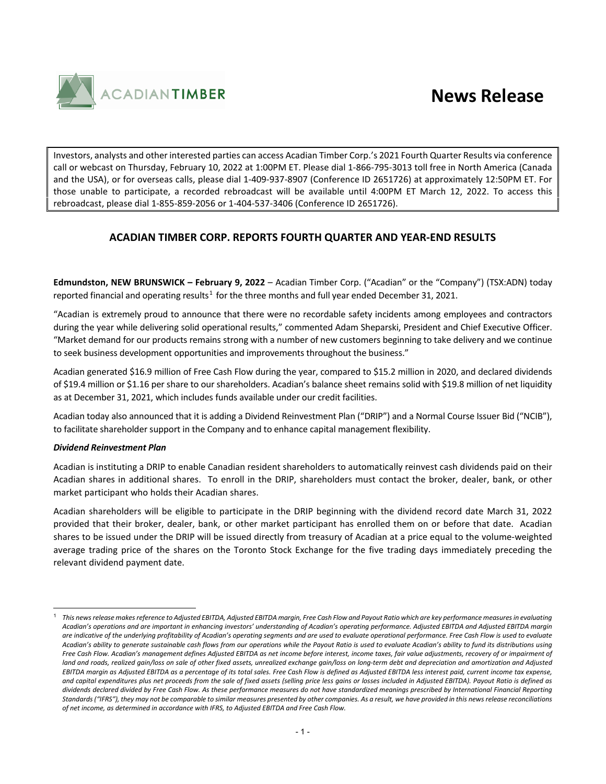

Investors, analysts and other interested parties can access Acadian Timber Corp.'s 2021 Fourth Quarter Results via conference call or webcast on Thursday, February 10, 2022 at 1:00PM ET. Please dial 1-866-795-3013 toll free in North America (Canada and the USA), or for overseas calls, please dial 1-409-937-8907 (Conference ID 2651726) at approximately 12:50PM ET. For those unable to participate, a recorded rebroadcast will be available until 4:00PM ET March 12, 2022. To access this rebroadcast, please dial 1-855-859-2056 or 1-404-537-3406 (Conference ID 2651726).

## **ACADIAN TIMBER CORP. REPORTS FOURTH QUARTER AND YEAR-END RESULTS**

**Edmundston, NEW BRUNSWICK – February 9, 2022** – Acadian Timber Corp. ("Acadian" or the "Company") (TSX:ADN) today reported financial and operating results<sup>[1](#page-0-0)</sup> for the three months and full year ended December 31, 2021.

"Acadian is extremely proud to announce that there were no recordable safety incidents among employees and contractors during the year while delivering solid operational results," commented Adam Sheparski, President and Chief Executive Officer. "Market demand for our products remains strong with a number of new customers beginning to take delivery and we continue to seek business development opportunities and improvements throughout the business."

Acadian generated \$16.9 million of Free Cash Flow during the year, compared to \$15.2 million in 2020, and declared dividends of \$19.4 million or \$1.16 per share to our shareholders. Acadian's balance sheet remains solid with \$19.8 million of net liquidity as at December 31, 2021, which includes funds available under our credit facilities.

Acadian today also announced that it is adding a Dividend Reinvestment Plan ("DRIP") and a Normal Course Issuer Bid ("NCIB"), to facilitate shareholder support in the Company and to enhance capital management flexibility.

### *Dividend Reinvestment Plan*

Acadian is instituting a DRIP to enable Canadian resident shareholders to automatically reinvest cash dividends paid on their Acadian shares in additional shares. To enroll in the DRIP, shareholders must contact the broker, dealer, bank, or other market participant who holds their Acadian shares.

Acadian shareholders will be eligible to participate in the DRIP beginning with the dividend record date March 31, 2022 provided that their broker, dealer, bank, or other market participant has enrolled them on or before that date. Acadian shares to be issued under the DRIP will be issued directly from treasury of Acadian at a price equal to the volume-weighted average trading price of the shares on the Toronto Stock Exchange for the five trading days immediately preceding the relevant dividend payment date.

<span id="page-0-0"></span><sup>1</sup> *This news release makes reference to Adjusted EBITDA, Adjusted EBITDA margin, Free Cash Flow and Payout Ratio which are key performance measures in evaluating Acadian's operations and are important in enhancing investors' understanding of Acadian's operating performance. Adjusted EBITDA and Adjusted EBITDA margin*  are indicative of the underlying profitability of Acadian's operating segments and are used to evaluate operational performance. Free Cash Flow is used to evaluate *Acadian's ability to generate sustainable cash flows from our operations while the Payout Ratio is used to evaluate Acadian's ability to fund its distributions using Free Cash Flow. Acadian's management defines Adjusted EBITDA as net income before interest, income taxes, fair value adjustments, recovery of or impairment of*  land and roads, realized gain/loss on sale of other fixed assets, unrealized exchange gain/loss on long-term debt and depreciation and amortization and Adjusted *EBITDA margin as Adjusted EBITDA as a percentage of its total sales. Free Cash Flow is defined as Adjusted EBITDA less interest paid, current income tax expense, and capital expenditures plus net proceeds from the sale of fixed assets (selling price less gains or losses included in Adjusted EBITDA). Payout Ratio is defined as dividends declared divided by Free Cash Flow. As these performance measures do not have standardized meanings prescribed by International Financial Reporting Standards ("IFRS"), they may not be comparable to similar measures presented by other companies. As a result, we have provided in this news release reconciliations of net income, as determined in accordance with IFRS, to Adjusted EBITDA and Free Cash Flow.*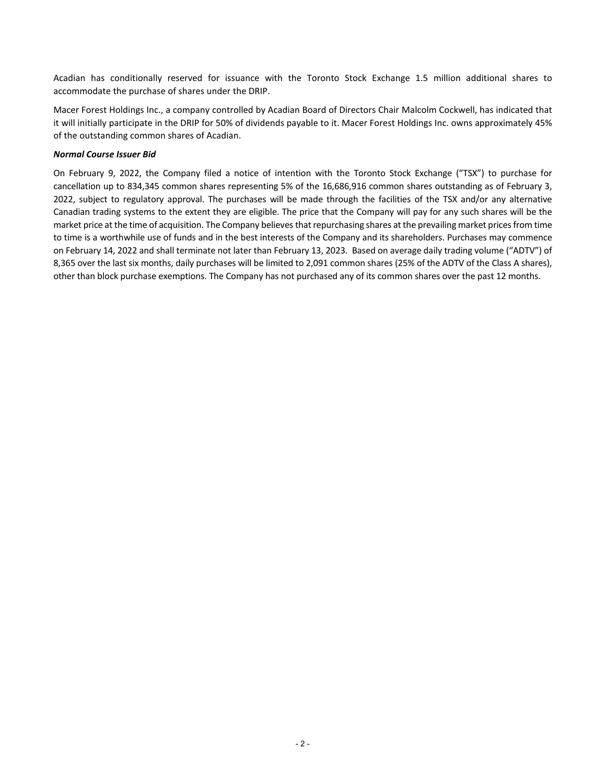Acadian has conditionally reserved for issuance with the Toronto Stock Exchange 1.5 million additional shares to accommodate the purchase of shares under the DRIP.

Macer Forest Holdings Inc., a company controlled by Acadian Board of Directors Chair Malcolm Cockwell, has indicated that it will initially participate in the DRIP for 50% of dividends payable to it. Macer Forest Holdings Inc. owns approximately 45% of the outstanding common shares of Acadian.

#### *Normal Course Issuer Bid*

On February 9, 2022, the Company filed a notice of intention with the Toronto Stock Exchange ("TSX") to purchase for cancellation up to 834,345 common shares representing 5% of the 16,686,916 common shares outstanding as of February 3, 2022, subject to regulatory approval. The purchases will be made through the facilities of the TSX and/or any alternative Canadian trading systems to the extent they are eligible. The price that the Company will pay for any such shares will be the market price at the time of acquisition. The Company believes that repurchasing shares at the prevailing market prices from time to time is a worthwhile use of funds and in the best interests of the Company and its shareholders. Purchases may commence on February 14, 2022 and shall terminate not later than February 13, 2023. Based on average daily trading volume ("ADTV") of 8,365 over the last six months, daily purchases will be limited to 2,091 common shares (25% of the ADTV of the Class A shares), other than block purchase exemptions. The Company has not purchased any of its common shares over the past 12 months.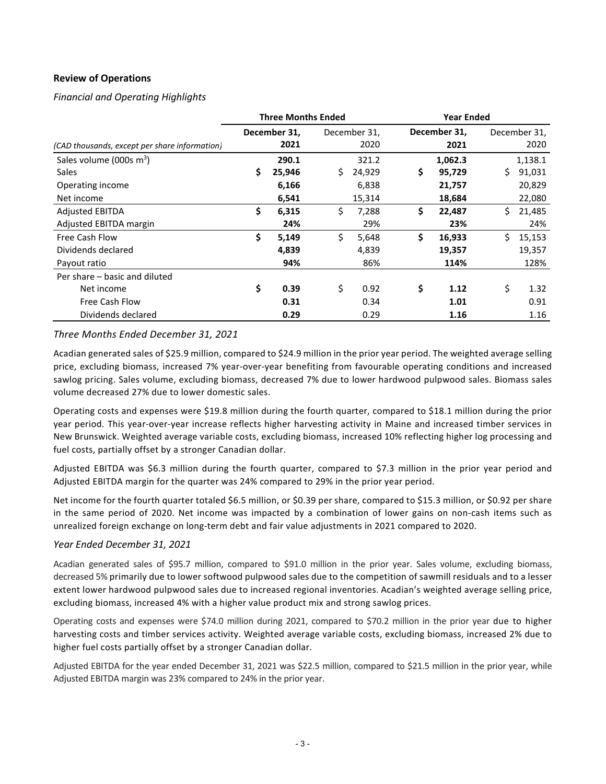## **Review of Operations**

*Financial and Operating Highlights*

|                                                                | <b>Three Months Ended</b><br><b>Year Ended</b> |                          |     |                          |    |                             |     |                             |
|----------------------------------------------------------------|------------------------------------------------|--------------------------|-----|--------------------------|----|-----------------------------|-----|-----------------------------|
| (CAD thousands, except per share information)                  |                                                | December 31,<br>2021     |     | December 31,<br>2020     |    | December 31,<br>2021        |     | December 31,<br>2020        |
| Sales volume (000s $m^3$ )<br><b>Sales</b><br>Operating income | \$                                             | 290.1<br>25,946<br>6,166 | \$. | 321.2<br>24,929<br>6,838 | \$ | 1,062.3<br>95,729<br>21,757 | \$. | 1,138.1<br>91,031<br>20,829 |
| Net income                                                     |                                                | 6,541                    |     | 15,314                   |    | 18,684                      |     | 22,080                      |
| <b>Adjusted EBITDA</b><br>Adjusted EBITDA margin               | \$                                             | 6,315<br>24%             | \$  | 7,288<br>29%             | \$ | 22,487<br>23%               | Ś.  | 21,485<br>24%               |
| Free Cash Flow<br>Dividends declared<br>Payout ratio           | \$                                             | 5,149<br>4,839<br>94%    | Ś.  | 5,648<br>4,839<br>86%    | \$ | 16,933<br>19,357<br>114%    | Ś.  | 15,153<br>19,357<br>128%    |
| Per share – basic and diluted<br>Net income                    | \$                                             | 0.39                     | \$  | 0.92                     | \$ | 1.12                        | \$  | 1.32                        |
| Free Cash Flow<br>Dividends declared                           |                                                | 0.31<br>0.29             |     | 0.34<br>0.29             |    | 1.01<br>1.16                |     | 0.91<br>1.16                |

## *Three Months Ended December 31, 2021*

Acadian generated sales of \$25.9 million, compared to \$24.9 million in the prior year period. The weighted average selling price, excluding biomass, increased 7% year-over-year benefiting from favourable operating conditions and increased sawlog pricing. Sales volume, excluding biomass, decreased 7% due to lower hardwood pulpwood sales. Biomass sales volume decreased 27% due to lower domestic sales.

Operating costs and expenses were \$19.8 million during the fourth quarter, compared to \$18.1 million during the prior year period. This year-over-year increase reflects higher harvesting activity in Maine and increased timber services in New Brunswick. Weighted average variable costs, excluding biomass, increased 10% reflecting higher log processing and fuel costs, partially offset by a stronger Canadian dollar.

Adjusted EBITDA was \$6.3 million during the fourth quarter, compared to \$7.3 million in the prior year period and Adjusted EBITDA margin for the quarter was 24% compared to 29% in the prior year period.

Net income for the fourth quarter totaled \$6.5 million, or \$0.39 per share, compared to \$15.3 million, or \$0.92 per share in the same period of 2020. Net income was impacted by a combination of lower gains on non-cash items such as unrealized foreign exchange on long-term debt and fair value adjustments in 2021 compared to 2020.

### *Year Ended December 31, 2021*

Acadian generated sales of \$95.7 million, compared to \$91.0 million in the prior year. Sales volume, excluding biomass, decreased 5% primarily due to lower softwood pulpwood sales due to the competition of sawmill residuals and to a lesser extent lower hardwood pulpwood sales due to increased regional inventories. Acadian's weighted average selling price, excluding biomass, increased 4% with a higher value product mix and strong sawlog prices.

Operating costs and expenses were \$74.0 million during 2021, compared to \$70.2 million in the prior year due to higher harvesting costs and timber services activity. Weighted average variable costs, excluding biomass, increased 2% due to higher fuel costs partially offset by a stronger Canadian dollar.

Adjusted EBITDA for the year ended December 31, 2021 was \$22.5 million, compared to \$21.5 million in the prior year, while Adjusted EBITDA margin was 23% compared to 24% in the prior year.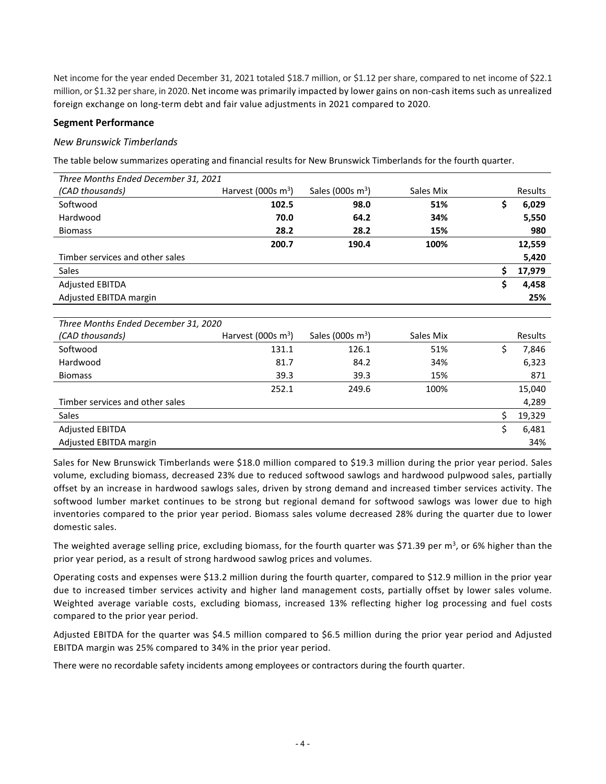Net income for the year ended December 31, 2021 totaled \$18.7 million, or \$1.12 per share, compared to net income of \$22.1 million, or \$1.32 per share, in 2020. Net income was primarily impacted by lower gains on non-cash items such as unrealized foreign exchange on long-term debt and fair value adjustments in 2021 compared to 2020.

## **Segment Performance**

#### *New Brunswick Timberlands*

The table below summarizes operating and financial results for New Brunswick Timberlands for the fourth quarter.

| Three Months Ended December 31, 2021 |                       |                     |           |     |         |
|--------------------------------------|-----------------------|---------------------|-----------|-----|---------|
| (CAD thousands)                      | Harvest (000s $m^3$ ) | Sales (000s $m^3$ ) | Sales Mix |     | Results |
| Softwood                             | 102.5                 | 98.0                | 51%       | \$  | 6,029   |
| Hardwood                             | 70.0                  | 64.2                | 34%       |     | 5,550   |
| <b>Biomass</b>                       | 28.2                  | 28.2                | 15%       |     | 980     |
|                                      | 200.7                 | 190.4               | 100%      |     | 12,559  |
| Timber services and other sales      |                       |                     |           |     | 5,420   |
| <b>Sales</b>                         |                       |                     |           | \$. | 17,979  |
| <b>Adjusted EBITDA</b>               |                       |                     |           | \$  | 4,458   |
| Adjusted EBITDA margin               |                       |                     |           |     | 25%     |
|                                      |                       |                     |           |     |         |
| Three Months Ended December 31, 2020 |                       |                     |           |     |         |
| (CAD thousands)                      | Harvest (000s $m^3$ ) | Sales (000s $m^3$ ) | Sales Mix |     | Results |
| Softwood                             | 131.1                 | 126.1               | 51%       | \$  | 7,846   |
| Hardwood                             | 81.7                  | 84.2                | 34%       |     | 6,323   |

| <b>Haluwuu</b>                  | 01.7  | 04.Z  | -5470 | U,JZJ  |
|---------------------------------|-------|-------|-------|--------|
| <b>Biomass</b>                  | 39.3  | 39.3  | 15%   | 871    |
|                                 | 252.1 | 249.6 | 100%  | 15,040 |
| Timber services and other sales |       |       |       | 4,289  |
| <b>Sales</b>                    |       |       |       | 19,329 |
| <b>Adjusted EBITDA</b>          |       |       |       | 6,481  |
| Adjusted EBITDA margin          |       |       |       | 34%    |
|                                 |       |       |       |        |

Sales for New Brunswick Timberlands were \$18.0 million compared to \$19.3 million during the prior year period. Sales volume, excluding biomass, decreased 23% due to reduced softwood sawlogs and hardwood pulpwood sales, partially offset by an increase in hardwood sawlogs sales, driven by strong demand and increased timber services activity. The softwood lumber market continues to be strong but regional demand for softwood sawlogs was lower due to high inventories compared to the prior year period. Biomass sales volume decreased 28% during the quarter due to lower domestic sales.

The weighted average selling price, excluding biomass, for the fourth quarter was \$71.39 per m<sup>3</sup>, or 6% higher than the prior year period, as a result of strong hardwood sawlog prices and volumes.

Operating costs and expenses were \$13.2 million during the fourth quarter, compared to \$12.9 million in the prior year due to increased timber services activity and higher land management costs, partially offset by lower sales volume. Weighted average variable costs, excluding biomass, increased 13% reflecting higher log processing and fuel costs compared to the prior year period.

Adjusted EBITDA for the quarter was \$4.5 million compared to \$6.5 million during the prior year period and Adjusted EBITDA margin was 25% compared to 34% in the prior year period.

There were no recordable safety incidents among employees or contractors during the fourth quarter.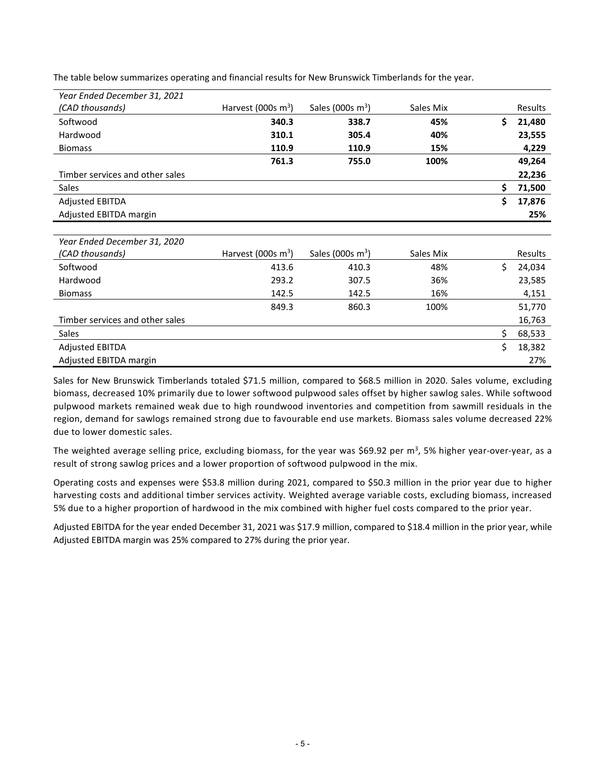| Year Ended December 31, 2021    |                       |                     |           |     |         |
|---------------------------------|-----------------------|---------------------|-----------|-----|---------|
| (CAD thousands)                 | Harvest (000s $m^3$ ) | Sales (000s $m^3$ ) | Sales Mix |     | Results |
| Softwood                        | 340.3                 | 338.7               | 45%       | \$. | 21,480  |
| Hardwood                        | 310.1                 | 305.4               | 40%       |     | 23,555  |
| <b>Biomass</b>                  | 110.9                 | 110.9               | 15%       |     | 4,229   |
|                                 | 761.3                 | 755.0               | 100%      |     | 49,264  |
| Timber services and other sales |                       |                     |           |     | 22,236  |
| <b>Sales</b>                    |                       |                     |           | Ś   | 71,500  |
| <b>Adjusted EBITDA</b>          |                       |                     |           | Ś.  | 17,876  |
| Adjusted EBITDA margin          |                       |                     |           |     | 25%     |

The table below summarizes operating and financial results for New Brunswick Timberlands for the year.

| Year Ended December 31, 2020    |                       |                     |           |   |                |
|---------------------------------|-----------------------|---------------------|-----------|---|----------------|
| (CAD thousands)                 | Harvest (000s $m^3$ ) | Sales (000s $m^3$ ) | Sales Mix |   | <b>Results</b> |
| Softwood                        | 413.6                 | 410.3               | 48%       |   | 24,034         |
| Hardwood                        | 293.2                 | 307.5               | 36%       |   | 23,585         |
| <b>Biomass</b>                  | 142.5                 | 142.5               | 16%       |   | 4,151          |
|                                 | 849.3                 | 860.3               | 100%      |   | 51,770         |
| Timber services and other sales |                       |                     |           |   | 16,763         |
| Sales                           |                       |                     |           |   | 68,533         |
| <b>Adjusted EBITDA</b>          |                       |                     |           | Ś | 18,382         |
| Adjusted EBITDA margin          |                       |                     |           |   | 27%            |

Sales for New Brunswick Timberlands totaled \$71.5 million, compared to \$68.5 million in 2020. Sales volume, excluding biomass, decreased 10% primarily due to lower softwood pulpwood sales offset by higher sawlog sales. While softwood pulpwood markets remained weak due to high roundwood inventories and competition from sawmill residuals in the region, demand for sawlogs remained strong due to favourable end use markets. Biomass sales volume decreased 22% due to lower domestic sales.

The weighted average selling price, excluding biomass, for the year was \$69.92 per m<sup>3</sup>, 5% higher year-over-year, as a result of strong sawlog prices and a lower proportion of softwood pulpwood in the mix.

Operating costs and expenses were \$53.8 million during 2021, compared to \$50.3 million in the prior year due to higher harvesting costs and additional timber services activity. Weighted average variable costs, excluding biomass, increased 5% due to a higher proportion of hardwood in the mix combined with higher fuel costs compared to the prior year.

Adjusted EBITDA for the year ended December 31, 2021 was \$17.9 million, compared to \$18.4 million in the prior year, while Adjusted EBITDA margin was 25% compared to 27% during the prior year.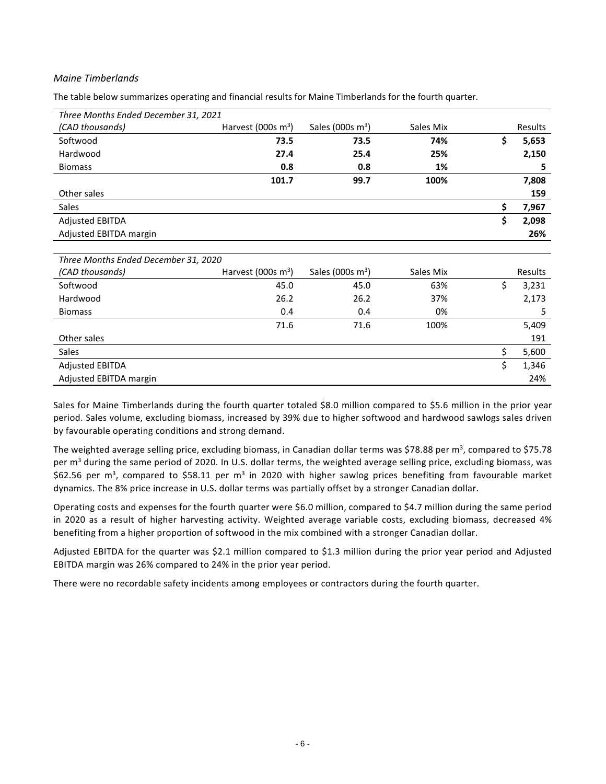#### *Maine Timberlands*

The table below summarizes operating and financial results for Maine Timberlands for the fourth quarter.

| Three Months Ended December 31, 2021 |                       |                     |           |             |
|--------------------------------------|-----------------------|---------------------|-----------|-------------|
| (CAD thousands)                      | Harvest (000s $m^3$ ) | Sales (000s $m^3$ ) | Sales Mix | Results     |
| Softwood                             | 73.5                  | 73.5                | 74%       | \$<br>5,653 |
| Hardwood                             | 27.4                  | 25.4                | 25%       | 2,150       |
| <b>Biomass</b>                       | 0.8                   | 0.8                 | 1%        | 5           |
|                                      | 101.7                 | 99.7                | 100%      | 7,808       |
| Other sales                          |                       |                     |           | 159         |
| <b>Sales</b>                         |                       |                     |           | \$<br>7,967 |
| <b>Adjusted EBITDA</b>               |                       |                     |           | \$<br>2,098 |
| Adjusted EBITDA margin               |                       |                     |           | 26%         |
|                                      |                       |                     |           |             |
| Three Months Ended December 31, 2020 |                       |                     |           |             |
| (CAD thousands)                      | Harvest (000s $m^3$ ) | Sales (000s $m^3$ ) | Sales Mix | Results     |
| Softwood                             | 45.0                  | 45.0                | 63%       | \$<br>3,231 |
| Hardwood                             | 26.2                  | 26.2                | 37%       | 2,173       |
| <b>Biomass</b>                       | 0.4                   | 0.4                 | 0%        | 5           |
|                                      | 71.6                  | 71.6                | 100%      | 5,409       |
| Other sales                          |                       |                     |           | 191         |
| Sales                                |                       |                     |           | \$<br>5,600 |
| <b>Adjusted EBITDA</b>               |                       |                     |           | \$<br>1,346 |
| Adjusted EBITDA margin               |                       |                     |           | 24%         |

Sales for Maine Timberlands during the fourth quarter totaled \$8.0 million compared to \$5.6 million in the prior year period. Sales volume, excluding biomass, increased by 39% due to higher softwood and hardwood sawlogs sales driven by favourable operating conditions and strong demand.

The weighted average selling price, excluding biomass, in Canadian dollar terms was \$78.88 per m<sup>3</sup>, compared to \$75.78 per m<sup>3</sup> during the same period of 2020. In U.S. dollar terms, the weighted average selling price, excluding biomass, was \$62.56 per m<sup>3</sup>, compared to \$58.11 per m<sup>3</sup> in 2020 with higher sawlog prices benefiting from favourable market dynamics. The 8% price increase in U.S. dollar terms was partially offset by a stronger Canadian dollar.

Operating costs and expenses for the fourth quarter were \$6.0 million, compared to \$4.7 million during the same period in 2020 as a result of higher harvesting activity. Weighted average variable costs, excluding biomass, decreased 4% benefiting from a higher proportion of softwood in the mix combined with a stronger Canadian dollar.

Adjusted EBITDA for the quarter was \$2.1 million compared to \$1.3 million during the prior year period and Adjusted EBITDA margin was 26% compared to 24% in the prior year period.

There were no recordable safety incidents among employees or contractors during the fourth quarter.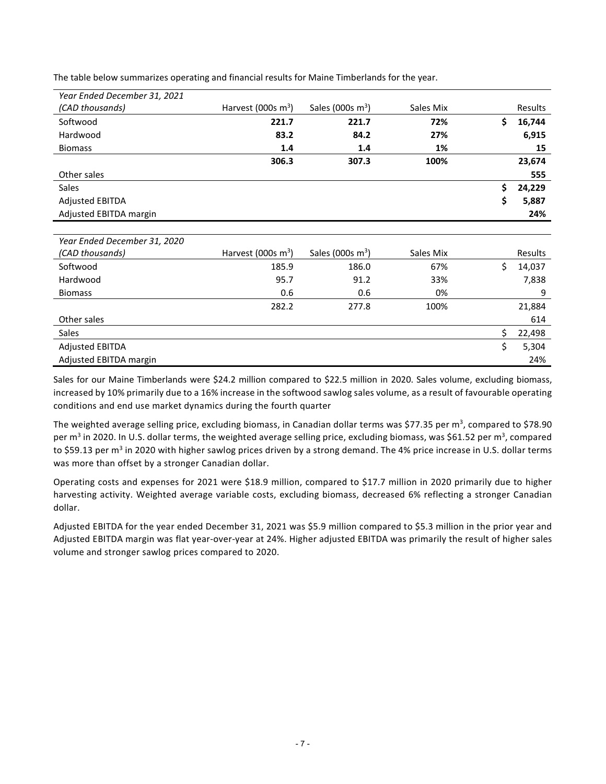| Year Ended December 31, 2021 |                       |                     |           |    |         |
|------------------------------|-----------------------|---------------------|-----------|----|---------|
| (CAD thousands)              | Harvest (000s $m^3$ ) | Sales (000s $m^3$ ) | Sales Mix |    | Results |
| Softwood                     | 221.7                 | 221.7               | 72%       | \$ | 16,744  |
| Hardwood                     | 83.2                  | 84.2                | 27%       |    | 6,915   |
| <b>Biomass</b>               | 1.4                   | 1.4                 | 1%        |    | 15      |
|                              | 306.3                 | 307.3               | 100%      |    | 23,674  |
| Other sales                  |                       |                     |           |    | 555     |
| <b>Sales</b>                 |                       |                     |           | Ś. | 24,229  |
| <b>Adjusted EBITDA</b>       |                       |                     |           | \$ | 5,887   |
| Adjusted EBITDA margin       |                       |                     |           |    | 24%     |
|                              |                       |                     |           |    |         |

The table below summarizes operating and financial results for Maine Timberlands for the year.

| Year Ended December 31, 2020 |                       |                     |           |    |         |
|------------------------------|-----------------------|---------------------|-----------|----|---------|
| (CAD thousands)              | Harvest (000s $m^3$ ) | Sales (000s $m^3$ ) | Sales Mix |    | Results |
| Softwood                     | 185.9                 | 186.0               | 67%       |    | 14,037  |
| Hardwood                     | 95.7                  | 91.2                | 33%       |    | 7,838   |
| <b>Biomass</b>               | 0.6                   | 0.6                 | 0%        |    | 9       |
|                              | 282.2                 | 277.8               | 100%      |    | 21,884  |
| Other sales                  |                       |                     |           |    | 614     |
| Sales                        |                       |                     |           | Ś  | 22,498  |
| <b>Adjusted EBITDA</b>       |                       |                     |           | \$ | 5,304   |
| Adjusted EBITDA margin       |                       |                     |           |    | 24%     |

Sales for our Maine Timberlands were \$24.2 million compared to \$22.5 million in 2020. Sales volume, excluding biomass, increased by 10% primarily due to a 16% increase in the softwood sawlog sales volume, as a result of favourable operating conditions and end use market dynamics during the fourth quarter

The weighted average selling price, excluding biomass, in Canadian dollar terms was \$77.35 per  $m^3$ , compared to \$78.90 per m<sup>3</sup> in 2020. In U.S. dollar terms, the weighted average selling price, excluding biomass, was \$61.52 per m<sup>3</sup>, compared to \$59.13 per m<sup>3</sup> in 2020 with higher sawlog prices driven by a strong demand. The 4% price increase in U.S. dollar terms was more than offset by a stronger Canadian dollar.

Operating costs and expenses for 2021 were \$18.9 million, compared to \$17.7 million in 2020 primarily due to higher harvesting activity. Weighted average variable costs, excluding biomass, decreased 6% reflecting a stronger Canadian dollar.

Adjusted EBITDA for the year ended December 31, 2021 was \$5.9 million compared to \$5.3 million in the prior year and Adjusted EBITDA margin was flat year-over-year at 24%. Higher adjusted EBITDA was primarily the result of higher sales volume and stronger sawlog prices compared to 2020.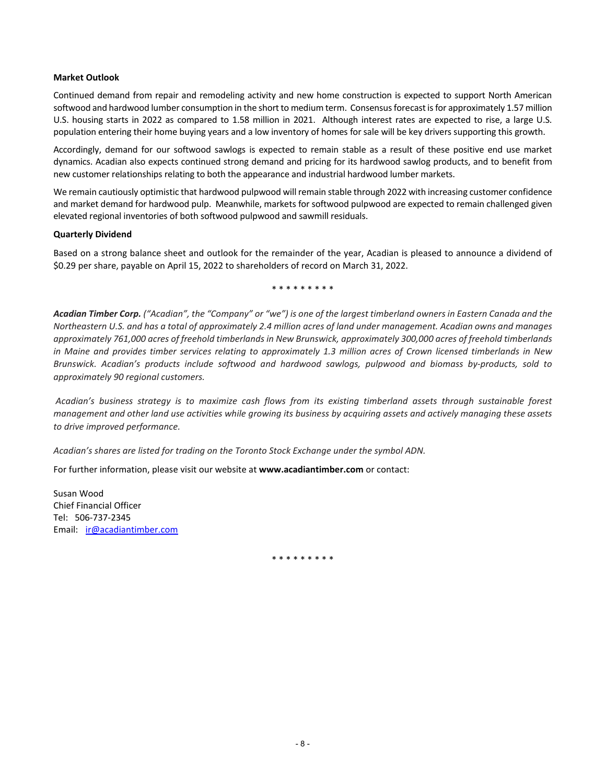#### **Market Outlook**

Continued demand from repair and remodeling activity and new home construction is expected to support North American softwood and hardwood lumber consumption in the short to medium term. Consensus forecast is for approximately 1.57 million U.S. housing starts in 2022 as compared to 1.58 million in 2021. Although interest rates are expected to rise, a large U.S. population entering their home buying years and a low inventory of homes for sale will be key drivers supporting this growth.

Accordingly, demand for our softwood sawlogs is expected to remain stable as a result of these positive end use market dynamics. Acadian also expects continued strong demand and pricing for its hardwood sawlog products, and to benefit from new customer relationships relating to both the appearance and industrial hardwood lumber markets.

We remain cautiously optimistic that hardwood pulpwood will remain stable through 2022 with increasing customer confidence and market demand for hardwood pulp. Meanwhile, markets for softwood pulpwood are expected to remain challenged given elevated regional inventories of both softwood pulpwood and sawmill residuals.

#### **Quarterly Dividend**

Based on a strong balance sheet and outlook for the remainder of the year, Acadian is pleased to announce a dividend of \$0.29 per share, payable on April 15, 2022 to shareholders of record on March 31, 2022.

\* \* \* \* \* \* \* \* \*

*Acadian Timber Corp. ("Acadian", the "Company" or "we") is one of the largest timberland owners in Eastern Canada and the Northeastern U.S. and has a total of approximately 2.4 million acres of land under management. Acadian owns and manages approximately 761,000 acres of freehold timberlands in New Brunswick, approximately 300,000 acres of freehold timberlands in Maine and provides timber services relating to approximately 1.3 million acres of Crown licensed timberlands in New Brunswick. Acadian's products include softwood and hardwood sawlogs, pulpwood and biomass by-products, sold to approximately 90 regional customers.*

*Acadian's business strategy is to maximize cash flows from its existing timberland assets through sustainable forest management and other land use activities while growing its business by acquiring assets and actively managing these assets to drive improved performance.* 

*Acadian's shares are listed for trading on the Toronto Stock Exchange under the symbol ADN.*

For further information, please visit our website at **www.acadiantimber.com** or contact:

Susan Wood Chief Financial Officer Tel: 506-737-2345 Email: [ir@acadiantimber.com](mailto:ir@acadiantimber.com)

\* \* \* \* \* \* \* \* \*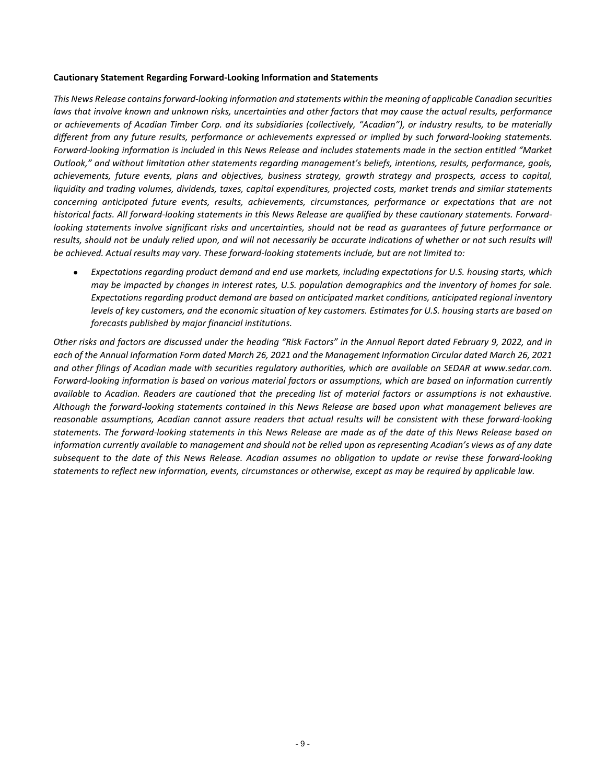#### **Cautionary Statement Regarding Forward-Looking Information and Statements**

*This News Release contains forward-looking information and statements within the meaning of applicable Canadian securities laws that involve known and unknown risks, uncertainties and other factors that may cause the actual results, performance or achievements of Acadian Timber Corp. and its subsidiaries (collectively, "Acadian"), or industry results, to be materially different from any future results, performance or achievements expressed or implied by such forward-looking statements. Forward-looking information is included in this News Release and includes statements made in the section entitled "Market Outlook," and without limitation other statements regarding management's beliefs, intentions, results, performance, goals, achievements, future events, plans and objectives, business strategy, growth strategy and prospects, access to capital, liquidity and trading volumes, dividends, taxes, capital expenditures, projected costs, market trends and similar statements concerning anticipated future events, results, achievements, circumstances, performance or expectations that are not historical facts. All forward-looking statements in this News Release are qualified by these cautionary statements. Forwardlooking statements involve significant risks and uncertainties, should not be read as guarantees of future performance or results, should not be unduly relied upon, and will not necessarily be accurate indications of whether or not such results will be achieved. Actual results may vary. These forward-looking statements include, but are not limited to:*

• *Expectations regarding product demand and end use markets, including expectations for U.S. housing starts, which may be impacted by changes in interest rates, U.S. population demographics and the inventory of homes for sale. Expectations regarding product demand are based on anticipated market conditions, anticipated regional inventory levels of key customers, and the economic situation of key customers. Estimates for U.S. housing starts are based on forecasts published by major financial institutions.*

*Other risks and factors are discussed under the heading "Risk Factors" in the Annual Report dated February 9, 2022, and in each of the Annual Information Form dated March 26, 2021 and the Management Information Circular dated March 26, 2021 and other filings of Acadian made with securities regulatory authorities, which are available on SEDAR at www.sedar.com. Forward-looking information is based on various material factors or assumptions, which are based on information currently available to Acadian. Readers are cautioned that the preceding list of material factors or assumptions is not exhaustive. Although the forward-looking statements contained in this News Release are based upon what management believes are reasonable assumptions, Acadian cannot assure readers that actual results will be consistent with these forward-looking statements. The forward-looking statements in this News Release are made as of the date of this News Release based on information currently available to management and should not be relied upon as representing Acadian's views as of any date subsequent to the date of this News Release. Acadian assumes no obligation to update or revise these forward-looking statements to reflect new information, events, circumstances or otherwise, except as may be required by applicable law.*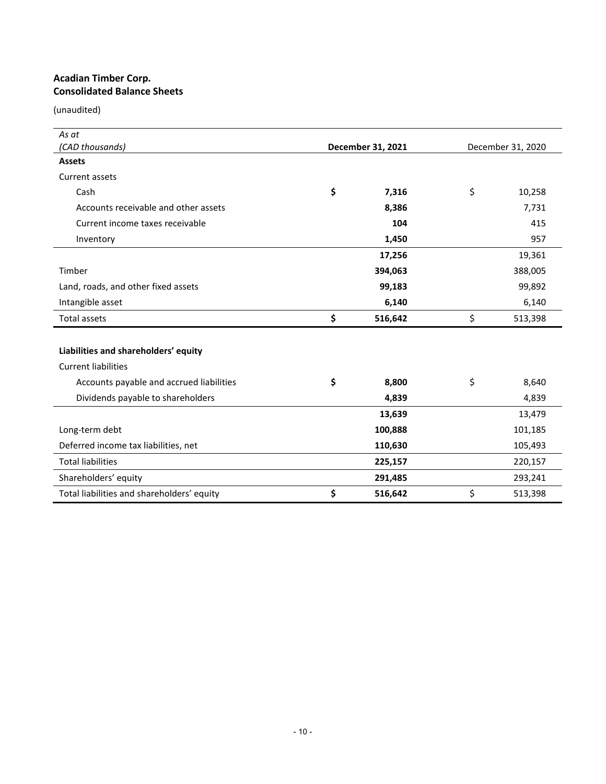## **Acadian Timber Corp. Consolidated Balance Sheets**

| As at                                      |                   |                   |
|--------------------------------------------|-------------------|-------------------|
| (CAD thousands)                            | December 31, 2021 | December 31, 2020 |
| <b>Assets</b>                              |                   |                   |
| Current assets                             |                   |                   |
| Cash                                       | \$<br>7,316       | \$<br>10,258      |
| Accounts receivable and other assets       | 8,386             | 7,731             |
| Current income taxes receivable            | 104               | 415               |
| Inventory                                  | 1,450             | 957               |
|                                            | 17,256            | 19,361            |
| Timber                                     | 394,063           | 388,005           |
| Land, roads, and other fixed assets        | 99,183            | 99,892            |
| Intangible asset                           | 6,140             | 6,140             |
| Total assets                               | \$<br>516,642     | \$<br>513,398     |
|                                            |                   |                   |
| Liabilities and shareholders' equity       |                   |                   |
| <b>Current liabilities</b>                 |                   |                   |
| Accounts payable and accrued liabilities   | \$<br>8,800       | \$<br>8,640       |
| Dividends payable to shareholders          | 4,839             | 4,839             |
|                                            | 13,639            | 13,479            |
| Long-term debt                             | 100,888           | 101,185           |
| Deferred income tax liabilities, net       | 110,630           | 105,493           |
| <b>Total liabilities</b>                   | 225,157           | 220,157           |
| Shareholders' equity                       | 291,485           | 293,241           |
| Total liabilities and shareholders' equity | \$<br>516,642     | \$<br>513,398     |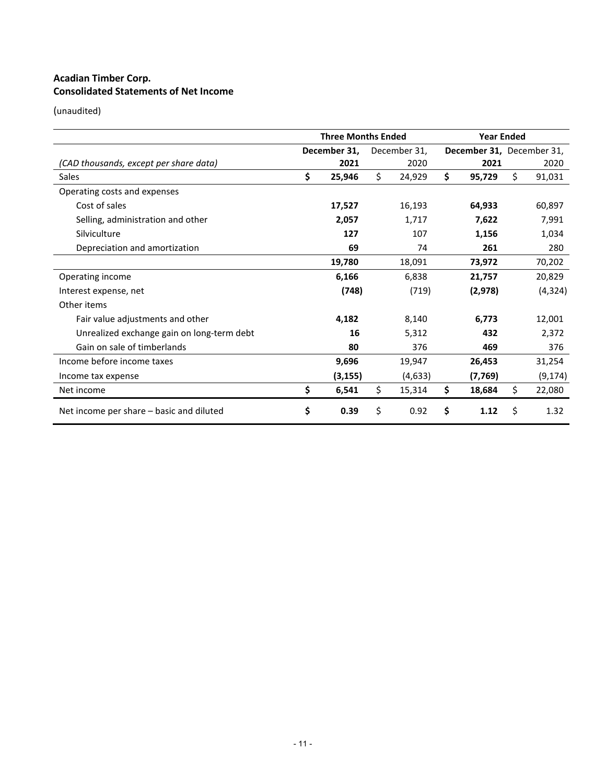# **Acadian Timber Corp. Consolidated Statements of Net Income**

|                                            | <b>Three Months Ended</b> |              |    |              |    |                           | <b>Year Ended</b> |          |  |
|--------------------------------------------|---------------------------|--------------|----|--------------|----|---------------------------|-------------------|----------|--|
|                                            |                           | December 31, |    | December 31, |    | December 31, December 31, |                   |          |  |
| (CAD thousands, except per share data)     |                           | 2021         |    | 2020         |    | 2021                      |                   | 2020     |  |
| Sales                                      | \$                        | 25,946       | \$ | 24,929       | Ś. | 95,729                    | Ŝ.                | 91,031   |  |
| Operating costs and expenses               |                           |              |    |              |    |                           |                   |          |  |
| Cost of sales                              |                           | 17,527       |    | 16,193       |    | 64,933                    |                   | 60,897   |  |
| Selling, administration and other          |                           | 2,057        |    | 1,717        |    | 7,622                     |                   | 7,991    |  |
| Silviculture                               |                           | 127          |    | 107          |    | 1,156                     |                   | 1,034    |  |
| Depreciation and amortization              |                           | 69           |    | 74           |    | 261                       |                   | 280      |  |
|                                            |                           | 19,780       |    | 18,091       |    | 73,972                    |                   | 70,202   |  |
| Operating income                           |                           | 6,166        |    | 6,838        |    | 21,757                    |                   | 20,829   |  |
| Interest expense, net                      |                           | (748)        |    | (719)        |    | (2,978)                   |                   | (4, 324) |  |
| Other items                                |                           |              |    |              |    |                           |                   |          |  |
| Fair value adjustments and other           |                           | 4,182        |    | 8,140        |    | 6.773                     |                   | 12,001   |  |
| Unrealized exchange gain on long-term debt |                           | 16           |    | 5,312        |    | 432                       |                   | 2.372    |  |
| Gain on sale of timberlands                |                           | 80           |    | 376          |    | 469                       |                   | 376      |  |
| Income before income taxes                 |                           | 9,696        |    | 19,947       |    | 26,453                    |                   | 31,254   |  |
| Income tax expense                         |                           | (3, 155)     |    | (4,633)      |    | (7, 769)                  |                   | (9, 174) |  |
| Net income                                 | \$                        | 6,541        | \$ | 15,314       | \$ | 18,684                    | \$                | 22,080   |  |
| Net income per share – basic and diluted   | \$                        | 0.39         | \$ | 0.92         | \$ | 1.12                      | Ś.                | 1.32     |  |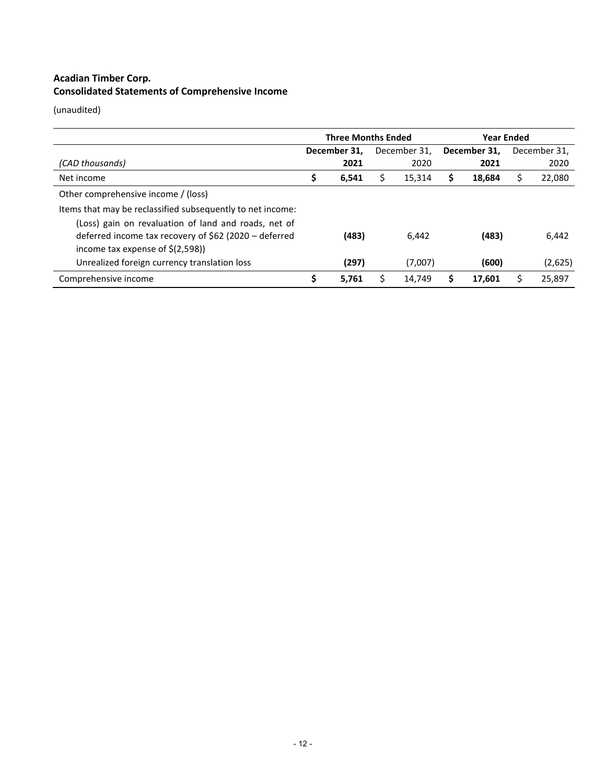# **Acadian Timber Corp. Consolidated Statements of Comprehensive Income**

|                                                            | <b>Three Months Ended</b> |       |   |              |              |        | <b>Year Ended</b> |         |  |  |
|------------------------------------------------------------|---------------------------|-------|---|--------------|--------------|--------|-------------------|---------|--|--|
|                                                            | December 31.              |       |   | December 31. | December 31, |        | December 31,      |         |  |  |
| (CAD thousands)                                            |                           | 2021  |   | 2020         |              | 2021   |                   | 2020    |  |  |
| Net income                                                 | ∍                         | 6,541 | ⊃ | 15,314       | S            | 18,684 |                   | 22,080  |  |  |
| Other comprehensive income / (loss)                        |                           |       |   |              |              |        |                   |         |  |  |
| Items that may be reclassified subsequently to net income: |                           |       |   |              |              |        |                   |         |  |  |
| (Loss) gain on revaluation of land and roads, net of       |                           |       |   |              |              |        |                   |         |  |  |
| deferred income tax recovery of \$62 (2020 – deferred      |                           | (483) |   | 6,442        |              | (483)  |                   | 6,442   |  |  |
| income tax expense of $\zeta(2,598)$                       |                           |       |   |              |              |        |                   |         |  |  |
| Unrealized foreign currency translation loss               |                           | (297) |   | (7,007)      |              | (600)  |                   | (2,625) |  |  |
| Comprehensive income                                       |                           | 5.761 |   | 14.749       |              | 17.601 |                   | 25.897  |  |  |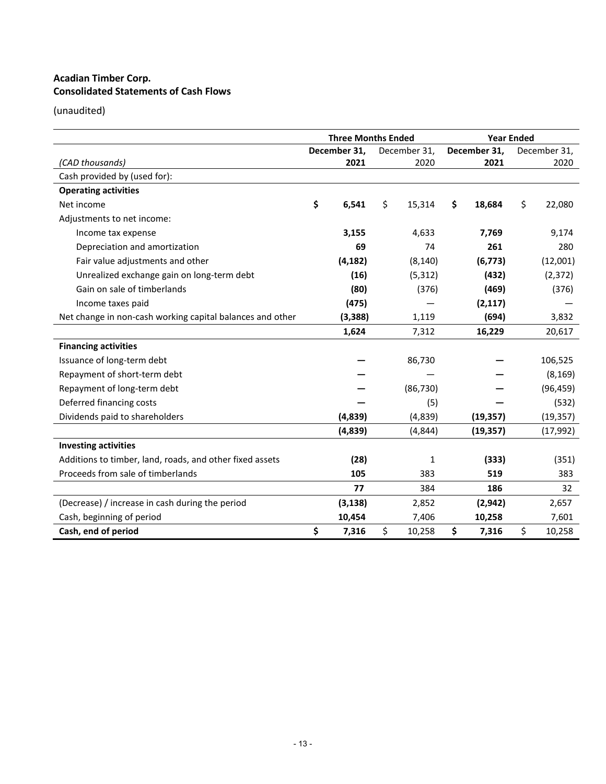# **Acadian Timber Corp. Consolidated Statements of Cash Flows**

|                                                           | <b>Three Months Ended</b> |          |    |              |              | <b>Year Ended</b> |              |  |
|-----------------------------------------------------------|---------------------------|----------|----|--------------|--------------|-------------------|--------------|--|
|                                                           | December 31,              |          |    | December 31, | December 31, |                   | December 31, |  |
| (CAD thousands)                                           |                           | 2021     |    | 2020         | 2021         |                   | 2020         |  |
| Cash provided by (used for):                              |                           |          |    |              |              |                   |              |  |
| <b>Operating activities</b>                               |                           |          |    |              |              |                   |              |  |
| Net income                                                | \$                        | 6,541    | \$ | 15,314       | \$<br>18,684 | \$                | 22,080       |  |
| Adjustments to net income:                                |                           |          |    |              |              |                   |              |  |
| Income tax expense                                        |                           | 3,155    |    | 4,633        | 7,769        |                   | 9,174        |  |
| Depreciation and amortization                             |                           | 69       |    | 74           | 261          |                   | 280          |  |
| Fair value adjustments and other                          |                           | (4, 182) |    | (8, 140)     | (6, 773)     |                   | (12,001)     |  |
| Unrealized exchange gain on long-term debt                |                           | (16)     |    | (5, 312)     | (432)        |                   | (2, 372)     |  |
| Gain on sale of timberlands                               |                           | (80)     |    | (376)        | (469)        |                   | (376)        |  |
| Income taxes paid                                         |                           | (475)    |    |              | (2, 117)     |                   |              |  |
| Net change in non-cash working capital balances and other |                           | (3,388)  |    | 1,119        | (694)        |                   | 3,832        |  |
|                                                           |                           | 1,624    |    | 7,312        | 16,229       |                   | 20,617       |  |
| <b>Financing activities</b>                               |                           |          |    |              |              |                   |              |  |
| Issuance of long-term debt                                |                           |          |    | 86,730       |              |                   | 106,525      |  |
| Repayment of short-term debt                              |                           |          |    |              |              |                   | (8, 169)     |  |
| Repayment of long-term debt                               |                           |          |    | (86, 730)    |              |                   | (96, 459)    |  |
| Deferred financing costs                                  |                           |          |    | (5)          |              |                   | (532)        |  |
| Dividends paid to shareholders                            |                           | (4,839)  |    | (4,839)      | (19, 357)    |                   | (19, 357)    |  |
|                                                           |                           | (4,839)  |    | (4,844)      | (19, 357)    |                   | (17, 992)    |  |
| <b>Investing activities</b>                               |                           |          |    |              |              |                   |              |  |
| Additions to timber, land, roads, and other fixed assets  |                           | (28)     |    | 1            | (333)        |                   | (351)        |  |
| Proceeds from sale of timberlands                         |                           | 105      |    | 383          | 519          |                   | 383          |  |
|                                                           |                           | 77       |    | 384          | 186          |                   | 32           |  |
| (Decrease) / increase in cash during the period           |                           | (3, 138) |    | 2,852        | (2, 942)     |                   | 2,657        |  |
| Cash, beginning of period                                 |                           | 10,454   |    | 7,406        | 10,258       |                   | 7,601        |  |
| Cash, end of period                                       | \$                        | 7,316    | \$ | 10,258       | \$<br>7,316  | \$                | 10,258       |  |